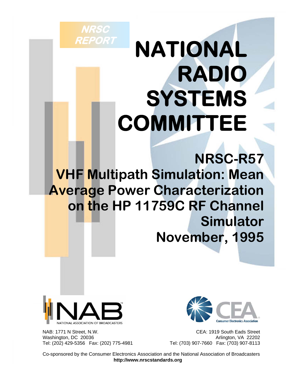# **NATIONAL RADIO SYSTEMS COMMITTEE**

**NRSC-R57 VHF Multipath Simulation: Mean Average Power Characterization on the HP 11759C RF Channel Simulator November, 1995**



**NRSC** 

**REPORT** 

 NAB: 1771 N Street, N.W. CEA: 1919 South Eads Street Washington, DC 20036 Arlington, VA 22202 Tel: (202) 429-5356 Fax: (202) 775-4981 Tel: (703) 907-7660 Fax: (703) 907-8113



 Co-sponsored by the Consumer Electronics Association and the National Association of Broadcasters **http://www.nrscstandards.org**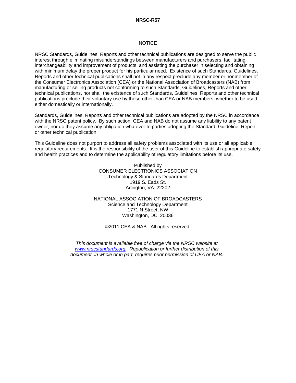#### **NRSC-R57**

#### **NOTICE**

NRSC Standards, Guidelines, Reports and other technical publications are designed to serve the public interest through eliminating misunderstandings between manufacturers and purchasers, facilitating interchangeability and improvement of products, and assisting the purchaser in selecting and obtaining with minimum delay the proper product for his particular need. Existence of such Standards, Guidelines, Reports and other technical publications shall not in any respect preclude any member or nonmember of the Consumer Electronics Association (CEA) or the National Association of Broadcasters (NAB) from manufacturing or selling products not conforming to such Standards, Guidelines, Reports and other technical publications, nor shall the existence of such Standards, Guidelines, Reports and other technical publications preclude their voluntary use by those other than CEA or NAB members, whether to be used either domestically or internationally.

Standards, Guidelines, Reports and other technical publications are adopted by the NRSC in accordance with the NRSC patent policy. By such action, CEA and NAB do not assume any liability to any patent owner, nor do they assume any obligation whatever to parties adopting the Standard, Guideline, Report or other technical publication.

This Guideline does not purport to address all safety problems associated with its use or all applicable regulatory requirements. It is the responsibility of the user of this Guideline to establish appropriate safety and health practices and to determine the applicability of regulatory limitations before its use.

> Published by CONSUMER ELECTRONICS ASSOCIATION Technology & Standards Department 1919 S. Eads St. Arlington, VA 22202

NATIONAL ASSOCIATION OF BROADCASTERS Science and Technology Department 1771 N Street, NW Washington, DC 20036

©2011 CEA & NAB. All rights reserved.

*This document is available free of charge via the NRSC website at www.nrscstandards.org. Republication or further distribution of this document, in whole or in part, requires prior permission of CEA or NAB.*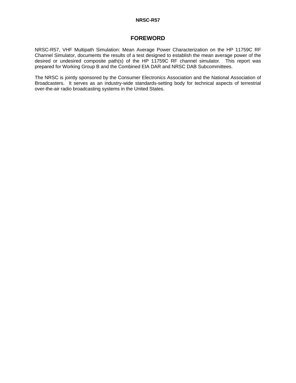### **NRSC-R57**

### **FOREWORD**

NRSC-R57, VHF Multipath Simulation: Mean Average Power Characterization on the HP 11759C RF Channel Simulator, documents the results of a test designed to establish the mean average power of the desired or undesired composite path(s) of the HP 11759C RF channel simulator. This report was prepared for Working Group B and the Combined EIA DAR and NRSC DAB Subcommittees.

The NRSC is jointly sponsored by the Consumer Electronics Association and the National Association of Broadcasters. It serves as an industry-wide standards-setting body for technical aspects of terrestrial over-the-air radio broadcasting systems in the United States.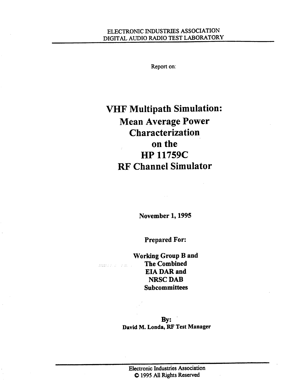### ELECTRONIC INDUSTRIES ASSOCIATION DIGITAL AUDIO RADIO TEST LABORATORY

Report on:

### **VHF Multipath Simulation: Mean Average Power Characterization** on the **HP 11759C RF Channel Simulator**

**November 1, 1995** 

**Prepared For:** 

**Working Group B and The Combined** <u>alerin bir tarixi</u> **EIA DAR and NRSC DAB Subcommittees** 

> By: David M. Londa, RF Test Manager

**Electronic Industries Association** C 1995 All Rights Reserved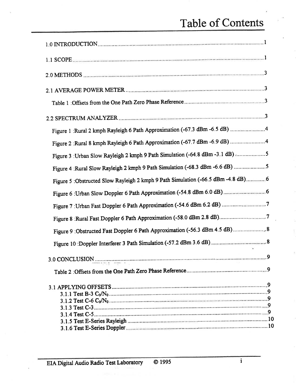# Table of Contents

| Figure 2: Rural 8 kmph Rayleigh 6 Path Approximation (-67.7 dBm -6.9 dB)  4      |
|----------------------------------------------------------------------------------|
| Figure 3: Urban Slow Rayleigh 2 kmph 9 Path Simulation (-64.8 dBm -3.1 dB) 5     |
| Figure 4: Rural Slow Rayleigh 2 kmph 9 Path Simulation (-68.3 dBm -6.6 dB) 5     |
| Figure 5: Obstructed Slow Rayleigh 2 kmph 9 Path Simulation (-66.5 dBm -4.8 dB)6 |
|                                                                                  |
|                                                                                  |
|                                                                                  |
| Figure 9: Obstructed Fast Doppler 6 Path Approximation (-56.3 dBm 4.5 dB)8       |
|                                                                                  |
|                                                                                  |
|                                                                                  |
|                                                                                  |
|                                                                                  |
|                                                                                  |
|                                                                                  |
|                                                                                  |
|                                                                                  |
|                                                                                  |

 $\overline{\mathbf{i}}$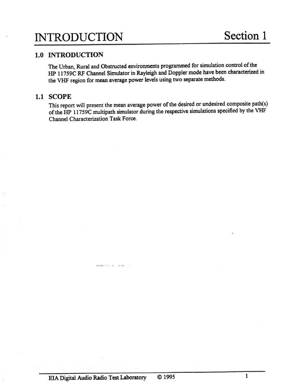# **INTRODUCTION**

### 1.0 INTRODUCTION

The Urban, Rural and Obstructed environments programmed for simulation control of the HP 11759C RF Channel Simulator in Rayleigh and Doppler mode have been characterized in the VHF region for mean average power levels using two separate methods.

### 1.1 SCOPE

This report will present the mean average power of the desired or undesired composite path(s) of the HP 11759C multipath simulator during the respective simulations specified by the VHF Channel Characterization Task Force.

evening an inter-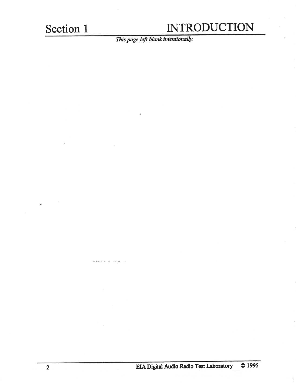# **INTRODUCTION**

This page left blank intentionally.

ΪÈ,

 $\overline{m}$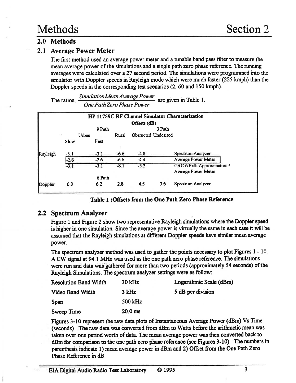### 2.0 Methods

### 2.1 Average Power Meter

The first method used an average power meter and a tunable band pass filter to measure the mean average power of the simulations and a single path zero phase reference. The running averages were calculated over a 27 second period. The simulations were programmed into the simulator with Doppler speeds in Rayleigh mode which were much faster (225 kmph) than the Doppler speeds in the corresponding test scenarios (2, 60 and 150 kmph).

The ratios, *SimulationMean Average Power* are given in Table 1.<br>One Path Zero Phase Power

|          |                  |        |        | Offsets (dB)        |     | HP 11759C RF Channel Simulator Characterization |
|----------|------------------|--------|--------|---------------------|-----|-------------------------------------------------|
|          | 3 Path<br>9 Path |        |        |                     |     |                                                 |
|          | 8                | Urban  | Rural  | Obsructed Undesired |     |                                                 |
|          | Slow             | Fast   |        |                     |     |                                                 |
| Rayleigh | $-3.1$           | $-3.1$ | $-6.6$ | $-4.8$              |     | Spectrum Analyzer                               |
|          | $-2.6$           | $-2.6$ | $-6.6$ | $-4.4$              |     | Average Power Meter                             |
|          | $-3.1$           | $-3.1$ | $-8.1$ | $-5.2$              |     | CRC 6 Path Approximation /                      |
|          |                  | 6 Path |        |                     |     | <b>Average Power Meter</b>                      |
| Doppler  | 6.0              | 6.2    | 2.8    | 4.5                 | 3.6 | Spectrum Analyzer                               |
|          |                  |        |        |                     |     |                                                 |

### Table 1: Offsets from the One Path Zero Phase Reference

### 2.2 Spectrum Analyzer

Figure 1 and Figure 2 show two representative Rayleigh simulations where the Doppler speed is higher in one simulation. Since the average power is virtually the same in each case it will be assumed that the Rayleigh simulations at different Doppler speeds have similar mean average power.

The spectrum analyzer method was used to gather the points necessary to plot Figures  $1 - 10$ . A CW signal at 94.1 MHz was used as the one path zero phase reference. The simulations were run and data was gathered for more than two periods (approximately 54 seconds) of the Rayleigh Simulations. The spectrum analyzer settings were as follow:

| <b>Resolution Band Width</b> | 30 kHz    | Logarithmic Scale (dBm) |
|------------------------------|-----------|-------------------------|
| Video Band Width             | 3 kHz     | 5 dB per division       |
| <b>Span</b>                  | 500 kHz   |                         |
| <b>Sweep Time</b>            | $20.0$ ms |                         |

Figures 3-10 represent the raw data plots of Instantaneous Average Power (dBm) Vs Time (seconds). The raw data was converted from dBm to Watts before the arithmetic mean was taken over one period worth of data. The mean average power was then converted back to dBm for comparison to the one path zero phase reference (see Figures 3-10). The numbers in parenthesis indicate 1) mean average power in dBm and 2) Offset from the One Path Zero Phase Reference in dB.

3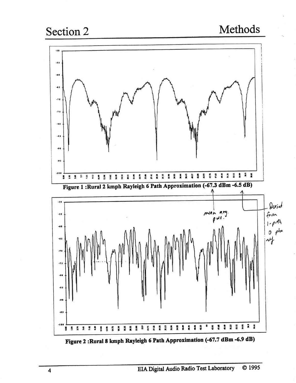

Figure 2: Rural 8 kmph Rayleigh 6 Path Approximation (-67.7 dBm -6.9 dB)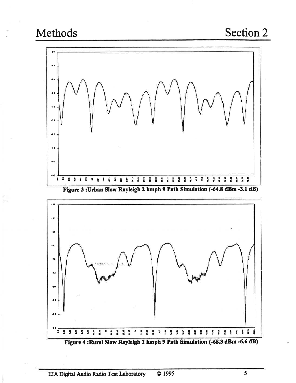

Figure 3: Urban Slow Rayleigh 2 kmph 9 Path Simulation (-64.8 dBm -3.1 dB)



 $\overline{\mathbf{5}}$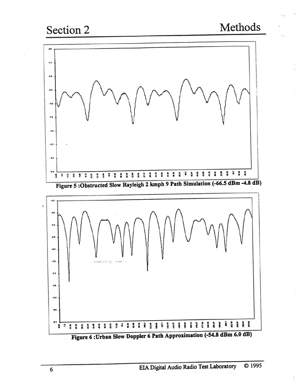



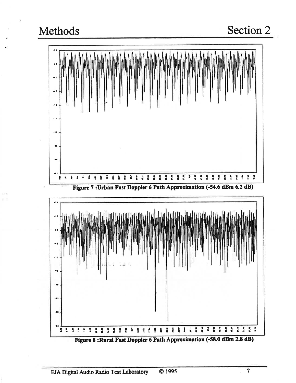# Section 2





 $\overline{7}$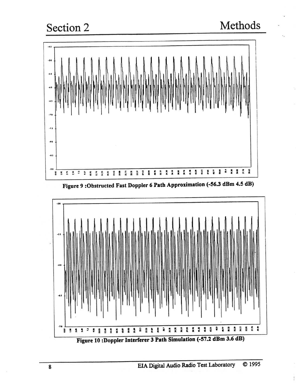



Figure 9: Obstructed Fast Doppler 6 Path Approximation (-56.3 dBm 4.5 dB)



₿

-90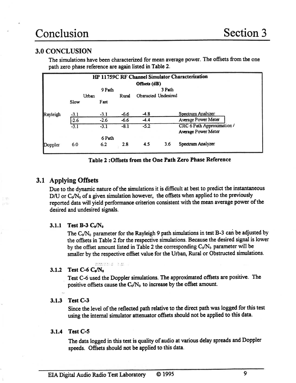### **3.0 CONCLUSION**

The simulations have been characterized for mean average power. The offsets from the one path zero phase reference are again listed in Table 2.

|          |        |        |        |                     |        | HP 11759C RF Channel Simulator Characterization   |  |
|----------|--------|--------|--------|---------------------|--------|---------------------------------------------------|--|
|          |        |        |        | Offsets (dB)        |        |                                                   |  |
|          | 9 Path |        |        |                     | 3 Path |                                                   |  |
|          | Urban  |        | Rural  | Obsructed Undesired |        |                                                   |  |
|          | Slow   | Fast   |        |                     |        |                                                   |  |
| Rayleigh | $-3.1$ | $-3.1$ | $-6.6$ | $-4.8$              |        | Spectrum Analyzer                                 |  |
|          | $-2.6$ | $-2.6$ | $-6.6$ | $-4.4$              |        | Average Power Meter                               |  |
|          | $-3.1$ | $-3.1$ | $-8.1$ | $-5.2$              |        | CRC 6 Path Approximation /<br>Average Power Meter |  |
|          |        | 6 Path |        |                     |        |                                                   |  |
| Doppler  | 6.0    | 6.2    | 2.8    | 4.5                 | 3.6    | Spectrum Analyzer                                 |  |

### Table 2: Offsets from the One Path Zero Phase Reference

### 3.1 Applying Offsets

Due to the dynamic nature of the simulations it is difficult at best to predict the instantaneous D/U or  $C_0/N_0$  of a given simulation however, the offsets when applied to the previously reported data will yield performance criterion consistent with the mean average power of the desired and undesired signals.

### 3.1.1 Test B-3  $C_0/N_0$

The  $C_0/N_0$  parameter for the Rayleigh 9 path simulations in test B-3 can be adjusted by the offsets in Table 2 for the respective simulations. Because the desired signal is lower by the offset amount listed in Table 2 the corresponding  $C_0/N_0$  parameter will be smaller by the respective offset value for the Urban, Rural or Obstructed simulations.

### 3.1.2 Test  $C-6C_0/N_0$

Test C-6 used the Doppler simulations. The approximated offsets are positive. The positive offsets cause the  $C_0/N_0$  to increase by the offset amount.

### 3.1.3 Test C-3

Since the level of the reflected path relative to the direct path was logged for this test using the internal simulator attenuator offsets should not be applied to this data.

### 3.1.4 Test C-5

The data logged in this test is quality of audio at various delay spreads and Doppler speeds. Offsets should not be applied to this data.

mental la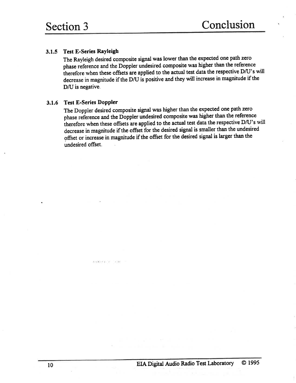### 3.1.5 Test E-Series Rayleigh

The Rayleigh desired composite signal was lower than the expected one path zero phase reference and the Doppler undesired composite was higher than the reference therefore when these offsets are applied to the actual test data the respective D/U's will decrease in magnitude if the D/U is positive and they will increase in magnitude if the D/U is negative.

### 3.1.6 Test E-Series Doppler

 $1122112 = 131$ 

The Doppler desired composite signal was higher than the expected one path zero phase reference and the Doppler undesired composite was higher than the reference therefore when these offsets are applied to the actual test data the respective D/U's will decrease in magnitude if the offset for the desired signal is smaller than the undesired offset or increase in magnitude if the offset for the desired signal is larger than the undesired offset.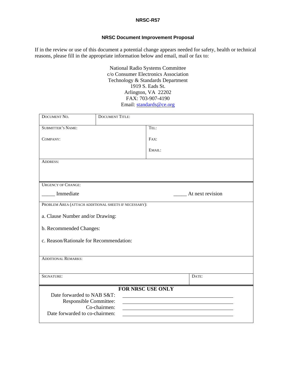### **NRSC-R57**

### **NRSC Document Improvement Proposal**

If in the review or use of this document a potential change appears needed for safety, health or technical reasons, please fill in the appropriate information below and email, mail or fax to:

> National Radio Systems Committee c/o Consumer Electronics Association Technology & Standards Department 1919 S. Eads St. Arlington, VA 22202 FAX: 703-907-4190 Email: standards@ce.org

| DOCUMENT NO.                                                                                                  | <b>DOCUMENT TITLE:</b> |                  |  |  |  |  |
|---------------------------------------------------------------------------------------------------------------|------------------------|------------------|--|--|--|--|
| <b>SUBMITTER'S NAME:</b>                                                                                      |                        | TEL:             |  |  |  |  |
| COMPANY:                                                                                                      |                        | FAX:             |  |  |  |  |
|                                                                                                               |                        | EMAIL:           |  |  |  |  |
| <b>ADDRESS:</b>                                                                                               |                        |                  |  |  |  |  |
|                                                                                                               |                        |                  |  |  |  |  |
| <b>URGENCY OF CHANGE:</b>                                                                                     |                        |                  |  |  |  |  |
| Immediate                                                                                                     |                        | At next revision |  |  |  |  |
| PROBLEM AREA (ATTACH ADDITIONAL SHEETS IF NECESSARY):                                                         |                        |                  |  |  |  |  |
| a. Clause Number and/or Drawing:                                                                              |                        |                  |  |  |  |  |
| b. Recommended Changes:                                                                                       |                        |                  |  |  |  |  |
| c. Reason/Rationale for Recommendation:                                                                       |                        |                  |  |  |  |  |
|                                                                                                               |                        |                  |  |  |  |  |
| <b>ADDITIONAL REMARKS:</b>                                                                                    |                        |                  |  |  |  |  |
| SIGNATURE:                                                                                                    |                        | DATE:            |  |  |  |  |
| FOR NRSC USE ONLY                                                                                             |                        |                  |  |  |  |  |
| Date forwarded to NAB S&T:                                                                                    |                        |                  |  |  |  |  |
| Responsible Committee:<br><u> 1989 - Johann Barbara, martxa alemaniar amerikan basar da a</u><br>Co-chairmen: |                        |                  |  |  |  |  |
| Date forwarded to co-chairmen:                                                                                |                        |                  |  |  |  |  |